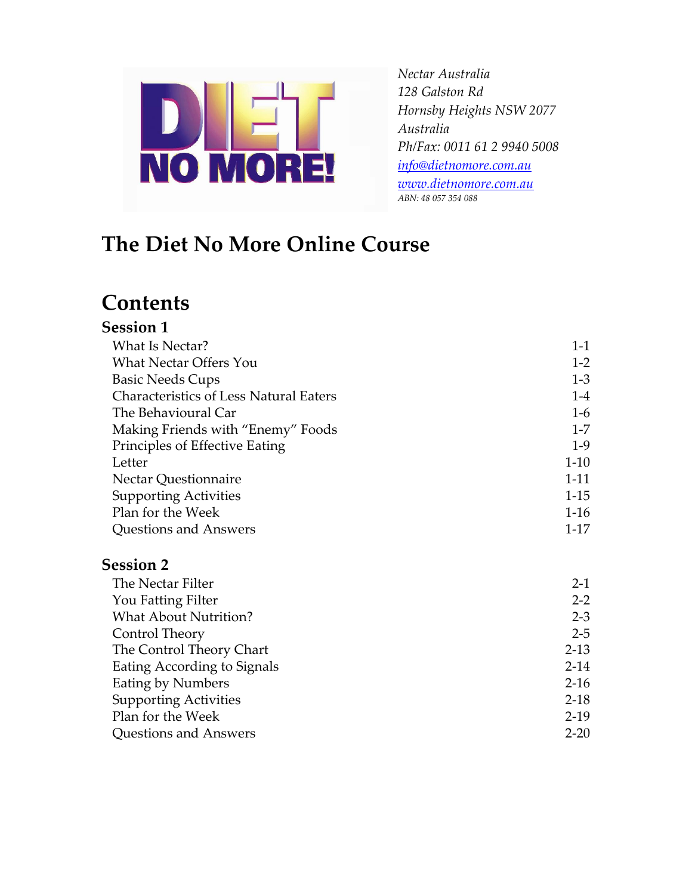

*Nectar Australia 128 Galston Rd Hornsby Heights NSW 2077 Australia Ph/Fax: 0011 61 2 9940 5008 [info@dietnomore.com.au](mailto:info@dietnomore.com.au) [www.dietnomore.com.au](http://www.dietnomore.com.au/) ABN: 48 057 354 088*

# **The Diet No More Online Course**

## **Contents**

## **Session 1**

| What Is Nectar?                               | $1 - 1$  |
|-----------------------------------------------|----------|
| <b>What Nectar Offers You</b>                 | $1 - 2$  |
| <b>Basic Needs Cups</b>                       | $1-3$    |
| <b>Characteristics of Less Natural Eaters</b> | $1-4$    |
| The Behavioural Car                           | $1-6$    |
| Making Friends with "Enemy" Foods             | $1 - 7$  |
| Principles of Effective Eating                | $1-9$    |
| Letter                                        | $1-10$   |
| <b>Nectar Questionnaire</b>                   | $1 - 11$ |
| <b>Supporting Activities</b>                  | $1-15$   |
| Plan for the Week                             | $1-16$   |
| Questions and Answers                         | $1 - 17$ |

#### **Session 2**

| The Nectar Filter            | $2-1$    |
|------------------------------|----------|
| You Fatting Filter           | $2 - 2$  |
| <b>What About Nutrition?</b> | $2 - 3$  |
| Control Theory               | $2 - 5$  |
| The Control Theory Chart     | $2 - 13$ |
| Eating According to Signals  | $2 - 14$ |
| <b>Eating by Numbers</b>     | $2-16$   |
| <b>Supporting Activities</b> | $2-18$   |
| Plan for the Week            | $2-19$   |
| Questions and Answers        | $2 - 20$ |
|                              |          |